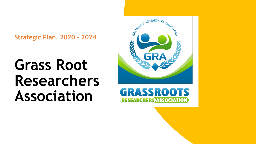**Strategic Plan. 2020 – 2024** 

**Grass Root Researchers Association** 



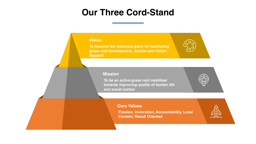# **Our Three Cord-Stand**

#### **Vision**

**To become the reference point for facilitating grass root development, Justice and Victim Support**

#### **Mission**

*To be an active grass root mobiliser towards improving quality of human life and social justice* 



**Passion, Innovation, Accountability, Local Content, Result Oriented**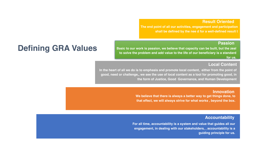#### **Result Oriented**

**The end point of all our activities, engagement and participation shall be defined by the nee d for a well-defined result t**

#### **Passion**

# **Defining GRA Values**

**Basic to our work is passion, we believe that capacity can be built, but the zeal to solve the problem and add value to the life of our beneficiary is a standard for us.** 

### **Local Content**

**In the heart of all we do is to emphasis and promote local content, either from the point of good, need or challenge,, we see the use of local content as a tool for promoting good, in the form of Justice, Good Governance, and Human Development** 

#### **Innovation**

**We believe that there is always a better way to get things done, to that effect, we will always strive for what works , beyond the box.** 

#### **Accountability**

**For all time, accountability is a system and value that guides all our engagement, in dealing with our stakeholders, , accountability is a guiding principle for us.**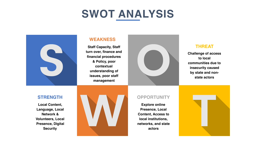# **SWOT ANALYSIS**



### **WEAKNESS**

**Staff Capacity, Staff turn over, finance and financial procedures & Policy, poor contextual understanding of issues, poor staff management** 



## **THREAT**

**Challenge of access to local communities due to insecurity caused by state and nonstate actors** 

## **STRENGTH**

**Local Content, Language, Local Network & Volunteers, Local Presence, Digital Security** 



## **OPPORTUNITY**

**Explore online Presence, Local Content, Access to local institutions, networks, and state actors** 

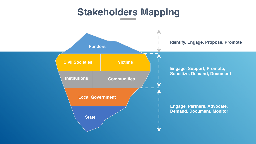# **Stakeholders Mapping**

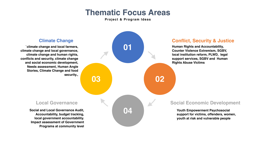# **Thematic Focus Areas**

**Project & Program Ideas** 



## **Climate Change**

**`climate change and local farmers, climate change and local governance, climate change and human rights, conflicts and security, climate change and social economic development, Needs assessment, Human Angle Stories, Climate Change and food**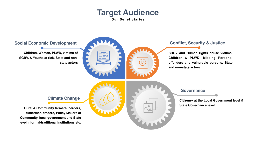# **Target Audience Our Beneficiaries**

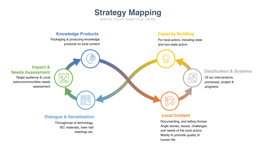

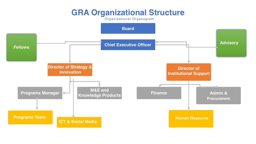# **GRA Organizational Structure**

Organizational Organogram